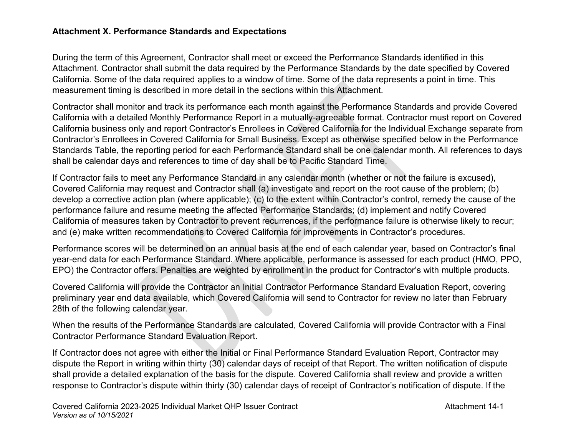## **Attachment X. Performance Standards and Expectations**

During the term of this Agreement, Contractor shall meet or exceed the Performance Standards identified in this Attachment. Contractor shall submit the data required by the Performance Standards by the date specified by Covered California. Some of the data required applies to a window of time. Some of the data represents a point in time. This measurement timing is described in more detail in the sections within this Attachment.

Contractor shall monitor and track its performance each month against the Performance Standards and provide Covered California with a detailed Monthly Performance Report in a mutually-agreeable format. Contractor must report on Covered California business only and report Contractor's Enrollees in Covered California for the Individual Exchange separate from Contractor's Enrollees in Covered California for Small Business. Except as otherwise specified below in the Performance Standards Table, the reporting period for each Performance Standard shall be one calendar month. All references to days shall be calendar days and references to time of day shall be to Pacific Standard Time.

If Contractor fails to meet any Performance Standard in any calendar month (whether or not the failure is excused), Covered California may request and Contractor shall (a) investigate and report on the root cause of the problem; (b) develop a corrective action plan (where applicable); (c) to the extent within Contractor's control, remedy the cause of the performance failure and resume meeting the affected Performance Standards; (d) implement and notify Covered California of measures taken by Contractor to prevent recurrences, if the performance failure is otherwise likely to recur; and (e) make written recommendations to Covered California for improvements in Contractor's procedures.

Performance scores will be determined on an annual basis at the end of each calendar year, based on Contractor's final year-end data for each Performance Standard. Where applicable, performance is assessed for each product (HMO, PPO, EPO) the Contractor offers. Penalties are weighted by enrollment in the product for Contractor's with multiple products.

Covered California will provide the Contractor an Initial Contractor Performance Standard Evaluation Report, covering preliminary year end data available, which Covered California will send to Contractor for review no later than February 28th of the following calendar year.

When the results of the Performance Standards are calculated, Covered California will provide Contractor with a Final Contractor Performance Standard Evaluation Report.

If Contractor does not agree with either the Initial or Final Performance Standard Evaluation Report, Contractor may dispute the Report in writing within thirty (30) calendar days of receipt of that Report. The written notification of dispute shall provide a detailed explanation of the basis for the dispute. Covered California shall review and provide a written response to Contractor's dispute within thirty (30) calendar days of receipt of Contractor's notification of dispute. If the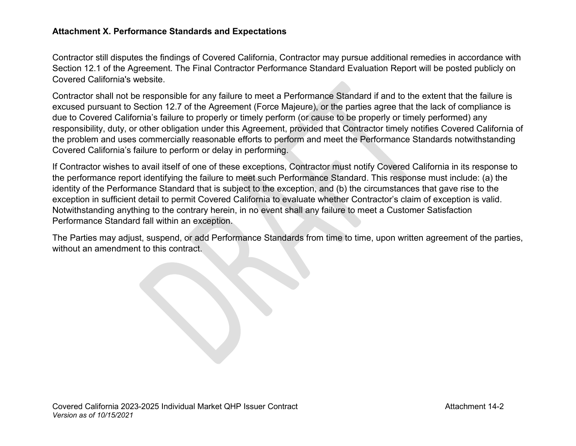## **Attachment X. Performance Standards and Expectations**

Contractor still disputes the findings of Covered California, Contractor may pursue additional remedies in accordance with Section 12.1 of the Agreement. The Final Contractor Performance Standard Evaluation Report will be posted publicly on Covered California's website.

Contractor shall not be responsible for any failure to meet a Performance Standard if and to the extent that the failure is excused pursuant to Section 12.7 of the Agreement (Force Majeure), or the parties agree that the lack of compliance is due to Covered California's failure to properly or timely perform (or cause to be properly or timely performed) any responsibility, duty, or other obligation under this Agreement, provided that Contractor timely notifies Covered California of the problem and uses commercially reasonable efforts to perform and meet the Performance Standards notwithstanding Covered California's failure to perform or delay in performing.

If Contractor wishes to avail itself of one of these exceptions, Contractor must notify Covered California in its response to the performance report identifying the failure to meet such Performance Standard. This response must include: (a) the identity of the Performance Standard that is subject to the exception, and (b) the circumstances that gave rise to the exception in sufficient detail to permit Covered California to evaluate whether Contractor's claim of exception is valid. Notwithstanding anything to the contrary herein, in no event shall any failure to meet a Customer Satisfaction Performance Standard fall within an exception.

The Parties may adjust, suspend, or add Performance Standards from time to time, upon written agreement of the parties, without an amendment to this contract.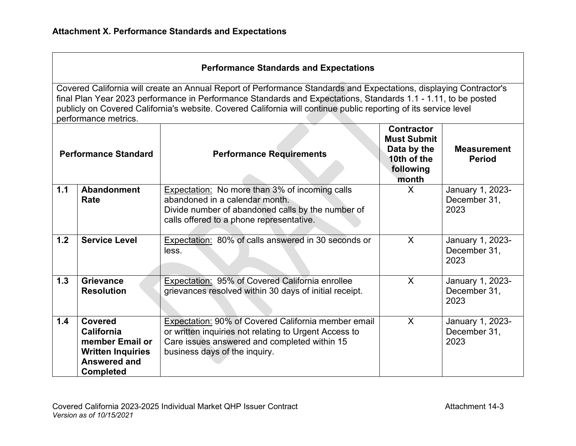## **Performance Standards and Expectations**

| <b>Performance Standard</b> |                                                                                                                               | <b>Performance Requirements</b>                                                                                                                                                               | <b>Contractor</b><br><b>Must Submit</b><br>Data by the<br>10th of the<br>following<br>month | <b>Measurement</b><br><b>Period</b>      |
|-----------------------------|-------------------------------------------------------------------------------------------------------------------------------|-----------------------------------------------------------------------------------------------------------------------------------------------------------------------------------------------|---------------------------------------------------------------------------------------------|------------------------------------------|
| 1.1                         | <b>Abandonment</b><br>Rate                                                                                                    | <b>Expectation:</b> No more than 3% of incoming calls<br>abandoned in a calendar month.<br>Divide number of abandoned calls by the number of<br>calls offered to a phone representative.      | X                                                                                           | January 1, 2023-<br>December 31,<br>2023 |
| 1.2                         | <b>Service Level</b>                                                                                                          | Expectation: 80% of calls answered in 30 seconds or<br>less.                                                                                                                                  | $\sf X$                                                                                     | January 1, 2023-<br>December 31,<br>2023 |
| 1.3                         | <b>Grievance</b><br><b>Resolution</b>                                                                                         | Expectation: 95% of Covered California enrollee<br>grievances resolved within 30 days of initial receipt.                                                                                     | $\sf X$                                                                                     | January 1, 2023-<br>December 31,<br>2023 |
| 1.4                         | <b>Covered</b><br><b>California</b><br>member Email or<br><b>Written Inquiries</b><br><b>Answered and</b><br><b>Completed</b> | Expectation: 90% of Covered California member email<br>or written inquiries not relating to Urgent Access to<br>Care issues answered and completed within 15<br>business days of the inquiry. | $\sf X$                                                                                     | January 1, 2023-<br>December 31,<br>2023 |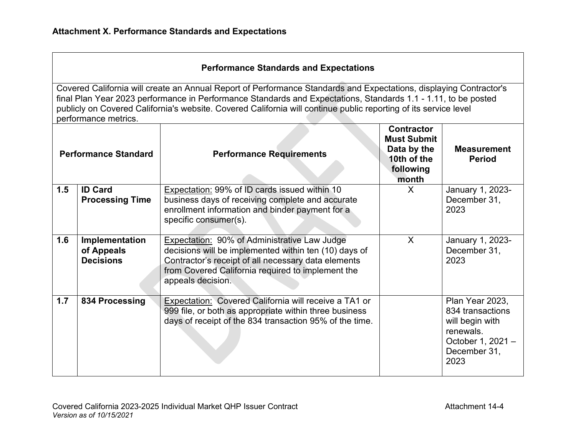|  |  |  | <b>Performance Standards and Expectations</b> |
|--|--|--|-----------------------------------------------|
|--|--|--|-----------------------------------------------|

| <b>Performance Standard</b> |                                                  | <b>Performance Requirements</b>                                                                                                                                                                                                        | <b>Contractor</b><br><b>Must Submit</b><br>Data by the<br>10th of the<br>following<br>month | <b>Measurement</b><br><b>Period</b>                                                                              |
|-----------------------------|--------------------------------------------------|----------------------------------------------------------------------------------------------------------------------------------------------------------------------------------------------------------------------------------------|---------------------------------------------------------------------------------------------|------------------------------------------------------------------------------------------------------------------|
| 1.5                         | <b>ID Card</b>                                   | Expectation: 99% of ID cards issued within 10                                                                                                                                                                                          | X                                                                                           | January 1, 2023-                                                                                                 |
|                             | <b>Processing Time</b>                           | business days of receiving complete and accurate                                                                                                                                                                                       |                                                                                             | December 31,                                                                                                     |
|                             |                                                  | enrollment information and binder payment for a<br>specific consumer(s).                                                                                                                                                               |                                                                                             | 2023                                                                                                             |
|                             |                                                  |                                                                                                                                                                                                                                        |                                                                                             |                                                                                                                  |
| 1.6                         | Implementation<br>of Appeals<br><b>Decisions</b> | Expectation: 90% of Administrative Law Judge<br>decisions will be implemented within ten (10) days of<br>Contractor's receipt of all necessary data elements<br>from Covered California required to implement the<br>appeals decision. | $\mathsf{X}$                                                                                | January 1, 2023-<br>December 31,<br>2023                                                                         |
| 1.7                         | 834 Processing                                   | Expectation: Covered California will receive a TA1 or<br>999 file, or both as appropriate within three business<br>days of receipt of the 834 transaction 95% of the time.                                                             |                                                                                             | Plan Year 2023,<br>834 transactions<br>will begin with<br>renewals.<br>October 1, 2021 -<br>December 31,<br>2023 |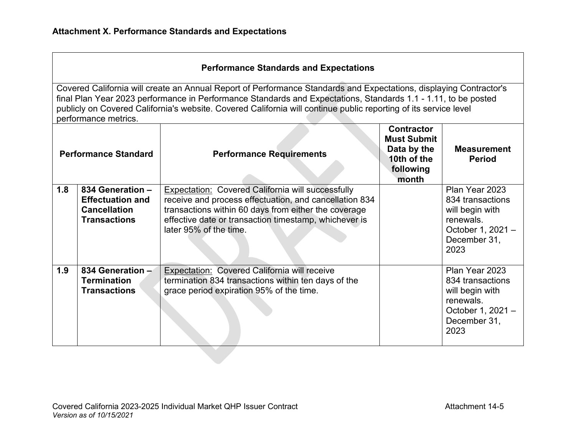|  |  | <b>Performance Standards and Expectations</b> |  |                                                                                                                    |
|--|--|-----------------------------------------------|--|--------------------------------------------------------------------------------------------------------------------|
|  |  |                                               |  | Covered California will create an Annual Report of Performance Standards and Expectations, displaying Contractor's |
|  |  |                                               |  |                                                                                                                    |

final Plan Year 2023 performance in Performance Standards and Expectations, Standards 1.1 - 1.11, to be posted publicly on Covered California's website. Covered California will continue public reporting of its service level performance metrics.

| <b>Performance Standard</b> |                                                                    | <b>Performance Requirements</b>                                                                                                                                     | <b>Contractor</b><br><b>Must Submit</b><br>Data by the<br>10th of the<br>following<br>month | <b>Measurement</b><br><b>Period</b>                                                                             |
|-----------------------------|--------------------------------------------------------------------|---------------------------------------------------------------------------------------------------------------------------------------------------------------------|---------------------------------------------------------------------------------------------|-----------------------------------------------------------------------------------------------------------------|
| 1.8                         | 834 Generation -<br><b>Effectuation and</b><br><b>Cancellation</b> | Expectation: Covered California will successfully<br>receive and process effectuation, and cancellation 834<br>transactions within 60 days from either the coverage |                                                                                             | Plan Year 2023<br>834 transactions<br>will begin with                                                           |
|                             | <b>Transactions</b>                                                | effective date or transaction timestamp, whichever is<br>later 95% of the time.                                                                                     |                                                                                             | renewals.<br>October 1, 2021 -<br>December 31,<br>2023                                                          |
| 1.9                         | 834 Generation -<br><b>Termination</b><br><b>Transactions</b>      | Expectation: Covered California will receive<br>termination 834 transactions within ten days of the<br>grace period expiration 95% of the time.                     |                                                                                             | Plan Year 2023<br>834 transactions<br>will begin with<br>renewals.<br>October 1, 2021 -<br>December 31,<br>2023 |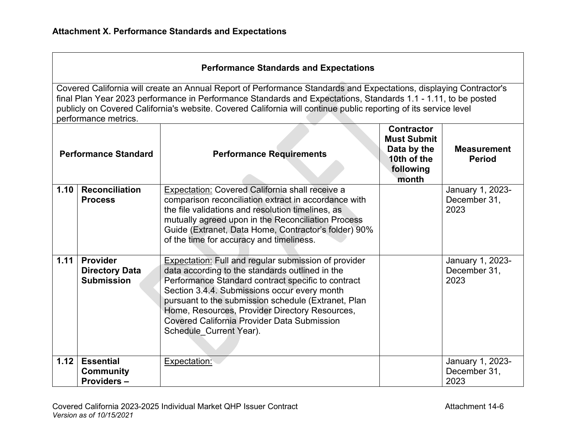| <b>Performance Standard</b> |                                                               | <b>Performance Requirements</b>                                                                                                                                                                                                                                                                                                                                                                         | <b>Contractor</b><br><b>Must Submit</b><br>Data by the<br>10th of the<br>following<br>month | <b>Measurement</b><br><b>Period</b>      |
|-----------------------------|---------------------------------------------------------------|---------------------------------------------------------------------------------------------------------------------------------------------------------------------------------------------------------------------------------------------------------------------------------------------------------------------------------------------------------------------------------------------------------|---------------------------------------------------------------------------------------------|------------------------------------------|
| 1.10                        | <b>Reconciliation</b><br><b>Process</b>                       | Expectation: Covered California shall receive a<br>comparison reconciliation extract in accordance with<br>the file validations and resolution timelines, as<br>mutually agreed upon in the Reconciliation Process<br>Guide (Extranet, Data Home, Contractor's folder) 90%<br>of the time for accuracy and timeliness.                                                                                  |                                                                                             | January 1, 2023-<br>December 31,<br>2023 |
| 1.11                        | <b>Provider</b><br><b>Directory Data</b><br><b>Submission</b> | <b>Expectation:</b> Full and regular submission of provider<br>data according to the standards outlined in the<br>Performance Standard contract specific to contract<br>Section 3.4.4. Submissions occur every month<br>pursuant to the submission schedule (Extranet, Plan<br>Home, Resources, Provider Directory Resources,<br>Covered California Provider Data Submission<br>Schedule Current Year). |                                                                                             | January 1, 2023-<br>December 31,<br>2023 |
| 1.12                        | <b>Essential</b><br><b>Community</b><br><b>Providers -</b>    | <b>Expectation:</b>                                                                                                                                                                                                                                                                                                                                                                                     |                                                                                             | January 1, 2023-<br>December 31,<br>2023 |